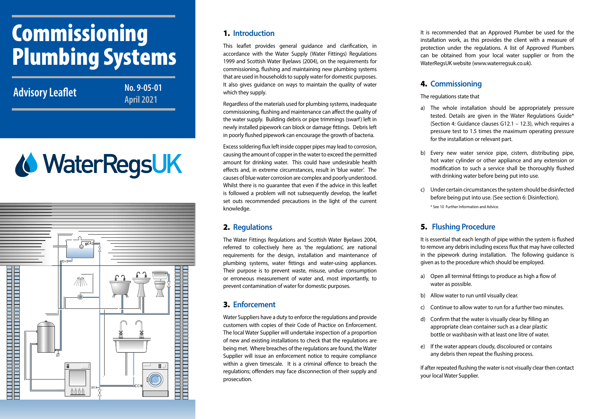# Commissioning Plumbing Systems

**Advisory Leaflet** Mo. 9-05-0<br>April 2021

**No. 9-05-01** 

# **& WaterRegsUK**



#### 1. **Introduction**

This leaflet provides general guidance and clarification, in accordance with the Water Supply (Water Fittings) Regulations 1999 and Scottish Water Byelaws (2004), on the requirements for commissioning, flushing and maintaining new plumbing systems that are used in households to supply water for domestic purposes. It also gives guidance on ways to maintain the quality of water which they supply.

Regardless of the materials used for plumbing systems, inadequate commissioning, flushing and maintenance can affect the quality of the water supply. Building debris or pipe trimmings (swarf) left in newly installed pipework can block or damage fittings. Debris left in poorly flushed pipework can encourage the growth of bacteria.

Excess soldering flux left inside copper pipes may lead to corrosion, causing the amount of copper in the water to exceed the permitted amount for drinking water. This could have undesirable health effects and, in extreme circumstances, result in 'blue water'. The causes of blue water corrosion are complex and poorly understood. Whilst there is no quarantee that even if the advice in this leaflet is followed a problem will not subsequently develop, the leaflet set outs recommended precautions in the light of the current knowledge.

#### 2. **Regulations**

The Water Fittings Regulations and Scottish Water Byelaws 2004, referred to collectively here as 'the regulations', are national requirements for the design, installation and maintenance of plumbing systems, water fittings and water-using appliances. Their purpose is to prevent waste, misuse, undue consumption or erroneous measurement of water and, most importantly, to prevent contamination of water for domestic purposes.

# 3. **Enforcement**

Water Suppliers have a duty to enforce the regulations and provide customers with copies of their Code of Practice on Enforcement. The local Water Supplier will undertake inspection of a proportion of new and existing installations to check that the regulations are being met. Where breaches of the regulations are found, the Water Supplier will issue an enforcement notice to require compliance within a given timescale. It is a criminal offence to breach the regulations; offenders may face disconnection of their supply and prosecution.

It is recommended that an Approved Plumber be used for the installation work, as this provides the client with a measure of protection under the regulations. A list of Approved Plumbers can be obtained from your local water supplier or from the WaterRegsUK website (www.waterregsuk.co.uk).

## 4. **Commissioning**

The regulations state that

- a) The whole installation should be appropriately pressure tested. Details are given in the Water Regulations Guide\* (Section 4: Guidance clauses G12.1 – 12.3), which requires a pressure test to 1.5 times the maximum operating pressure for the installation or relevant part.
- b) Every new water service pipe, cistern, distributing pipe, hot water cylinder or other appliance and any extension or modification to such a service shall be thoroughly flushed with drinking water before being put into use.
- c) Under certain circumstances the system should be disinfected before being put into use. (See section 6: Disinfection). \* See 10 Further Information and Advice.

# 5. **Flushing Procedure**

It is essential that each length of pipe within the system is flushed to remove any debris including excess flux that may have collected in the pipework during installation. The following guidance is given as to the procedure which should be employed.

- a) Open all terminal fittings to produce as high a flow of water as possible.
- b) Allow water to run until visually clear.
- c) Continue to allow water to run for a further two minutes.
- d) Confirm that the water is visually clear by filling an appropriate clean container such as a clear plastic bottle or washbasin with at least one litre of water.
- e) If the water appears cloudy, discoloured or contains any debris then repeat the flushing process.

If after repeated flushing the water is not visually clear then contact your local Water Supplier.